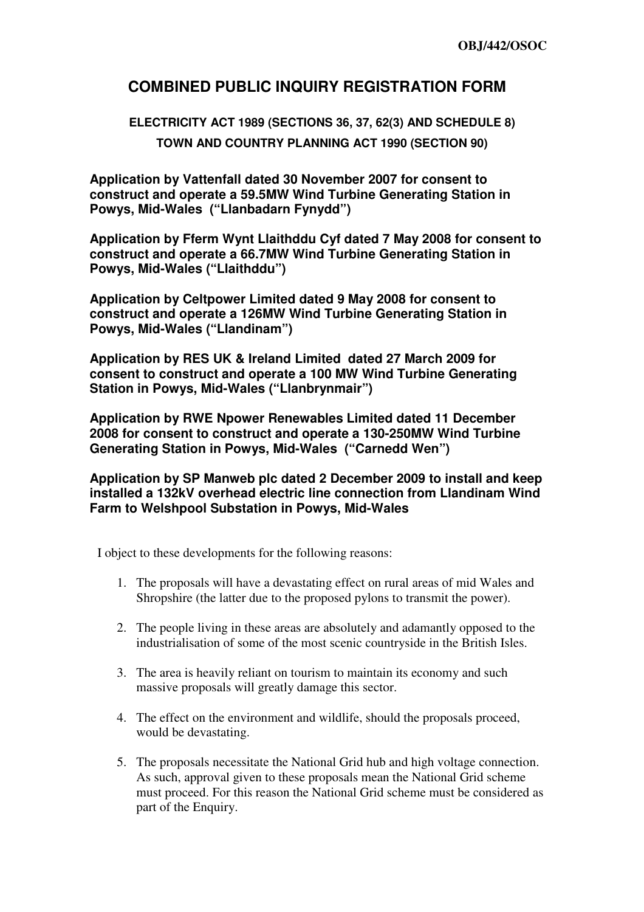## **COMBINED PUBLIC INQUIRY REGISTRATION FORM**

## **ELECTRICITY ACT 1989 (SECTIONS 36, 37, 62(3) AND SCHEDULE 8) TOWN AND COUNTRY PLANNING ACT 1990 (SECTION 90)**

**Application by Vattenfall dated 30 November 2007 for consent to construct and operate a 59.5MW Wind Turbine Generating Station in Powys, Mid-Wales ("Llanbadarn Fynydd")** 

**Application by Fferm Wynt Llaithddu Cyf dated 7 May 2008 for consent to construct and operate a 66.7MW Wind Turbine Generating Station in Powys, Mid-Wales ("Llaithddu")** 

**Application by Celtpower Limited dated 9 May 2008 for consent to construct and operate a 126MW Wind Turbine Generating Station in Powys, Mid-Wales ("Llandinam")** 

**Application by RES UK & Ireland Limited dated 27 March 2009 for consent to construct and operate a 100 MW Wind Turbine Generating Station in Powys, Mid-Wales ("Llanbrynmair")** 

**Application by RWE Npower Renewables Limited dated 11 December 2008 for consent to construct and operate a 130-250MW Wind Turbine Generating Station in Powys, Mid-Wales ("Carnedd Wen")** 

**Application by SP Manweb plc dated 2 December 2009 to install and keep installed a 132kV overhead electric line connection from Llandinam Wind Farm to Welshpool Substation in Powys, Mid-Wales** 

I object to these developments for the following reasons:

- 1. The proposals will have a devastating effect on rural areas of mid Wales and Shropshire (the latter due to the proposed pylons to transmit the power).
- 2. The people living in these areas are absolutely and adamantly opposed to the industrialisation of some of the most scenic countryside in the British Isles.
- 3. The area is heavily reliant on tourism to maintain its economy and such massive proposals will greatly damage this sector.
- 4. The effect on the environment and wildlife, should the proposals proceed, would be devastating.
- 5. The proposals necessitate the National Grid hub and high voltage connection. As such, approval given to these proposals mean the National Grid scheme must proceed. For this reason the National Grid scheme must be considered as part of the Enquiry.